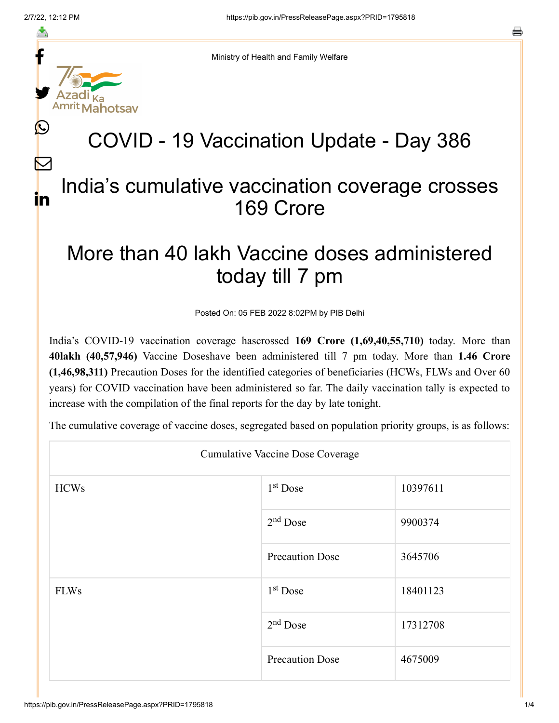f

≛

y.

 $\bigcirc$ 

 $\bm{\nabla}$ 

in

a

Ministry of Health and Family Welfare

## COVID - 19 Vaccination Update - Day 386

## India's cumulative vaccination coverage crosses 169 Crore

## More than 40 lakh Vaccine doses administered today till 7 pm

Posted On: 05 FEB 2022 8:02PM by PIB Delhi

India's COVID-19 vaccination coverage hascrossed **169 Crore (1,69,40,55,710)** today. More than **40lakh (40,57,946)** Vaccine Doseshave been administered till 7 pm today. More than **1.46 Crore (1,46,98,311)** Precaution Doses for the identified categories of beneficiaries (HCWs, FLWs and Over 60 years) for COVID vaccination have been administered so far. The daily vaccination tally is expected to increase with the compilation of the final reports for the day by late tonight.

The cumulative coverage of vaccine doses, segregated based on population priority groups, is as follows:

| <b>Cumulative Vaccine Dose Coverage</b> |                        |          |  |  |
|-----------------------------------------|------------------------|----------|--|--|
| <b>HCWs</b>                             | 1 <sup>st</sup> Dose   | 10397611 |  |  |
|                                         | $2nd$ Dose             | 9900374  |  |  |
|                                         | <b>Precaution Dose</b> | 3645706  |  |  |
| <b>FLWs</b>                             | $1st$ Dose             | 18401123 |  |  |
|                                         | $2nd$ Dose             | 17312708 |  |  |
|                                         | <b>Precaution Dose</b> | 4675009  |  |  |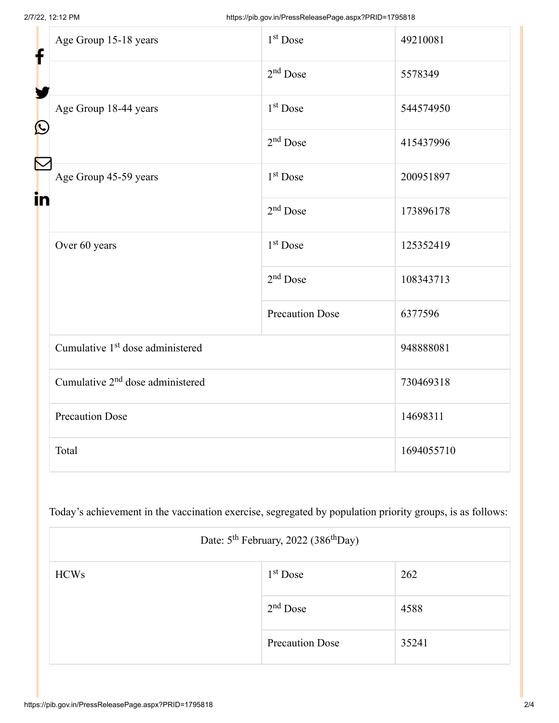| f<br>$\bf \Omega$ | Age Group 15-18 years                        | 1 <sup>st</sup> Dose   | 49210081   |
|-------------------|----------------------------------------------|------------------------|------------|
|                   |                                              | $2nd$ Dose             | 5578349    |
|                   | Age Group 18-44 years                        | $1st$ Dose             | 544574950  |
|                   |                                              | $2nd$ Dose             | 415437996  |
| in                | Age Group 45-59 years                        | $1st$ Dose             | 200951897  |
|                   |                                              | $2nd$ Dose             | 173896178  |
|                   | Over 60 years                                | 1 <sup>st</sup> Dose   | 125352419  |
|                   |                                              | $2nd$ Dose             | 108343713  |
|                   |                                              | <b>Precaution Dose</b> | 6377596    |
|                   | Cumulative 1 <sup>st</sup> dose administered |                        | 948888081  |
|                   | Cumulative 2 <sup>nd</sup> dose administered |                        | 730469318  |
|                   | <b>Precaution Dose</b>                       |                        | 14698311   |
|                   | Total                                        |                        | 1694055710 |

Today's achievement in the vaccination exercise, segregated by population priority groups, is as follows:

| Date: 5 <sup>th</sup> February, 2022 (386 <sup>th</sup> Day) |                        |       |  |
|--------------------------------------------------------------|------------------------|-------|--|
| <b>HCWs</b>                                                  | $1st$ Dose             | 262   |  |
|                                                              | $2nd$ Dose             | 4588  |  |
|                                                              | <b>Precaution Dose</b> | 35241 |  |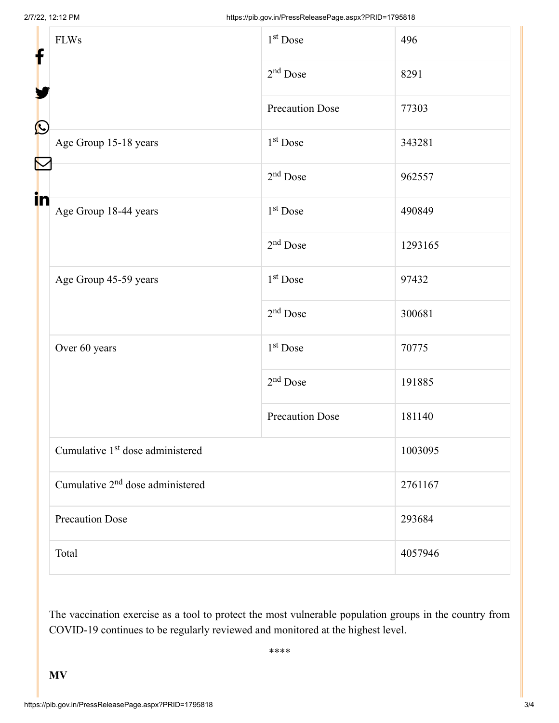| f<br>$\bf \Omega$ | <b>FLWs</b>                                  | 1 <sup>st</sup> Dose   | 496     |
|-------------------|----------------------------------------------|------------------------|---------|
|                   |                                              | $2nd$ Dose             | 8291    |
|                   |                                              | Precaution Dose        | 77303   |
|                   | Age Group 15-18 years                        | 1 <sup>st</sup> Dose   | 343281  |
|                   |                                              | $2nd$ Dose             | 962557  |
| in                | Age Group 18-44 years                        | $1st$ Dose             | 490849  |
|                   |                                              | $2nd$ Dose             | 1293165 |
|                   | Age Group 45-59 years                        | 1 <sup>st</sup> Dose   | 97432   |
|                   |                                              | $2nd$ Dose             | 300681  |
|                   | Over 60 years                                | $1st$ Dose             | 70775   |
|                   |                                              | $2nd$ Dose             | 191885  |
|                   |                                              | <b>Precaution Dose</b> | 181140  |
|                   | Cumulative 1 <sup>st</sup> dose administered |                        | 1003095 |
|                   | Cumulative 2 <sup>nd</sup> dose administered |                        | 2761167 |
|                   | <b>Precaution Dose</b>                       |                        | 293684  |
|                   | Total                                        |                        | 4057946 |

The vaccination exercise as a tool to protect the most vulnerable population groups in the country from COVID-19 continues to be regularly reviewed and monitored at the highest level.

\*\*\*\*

**MV**